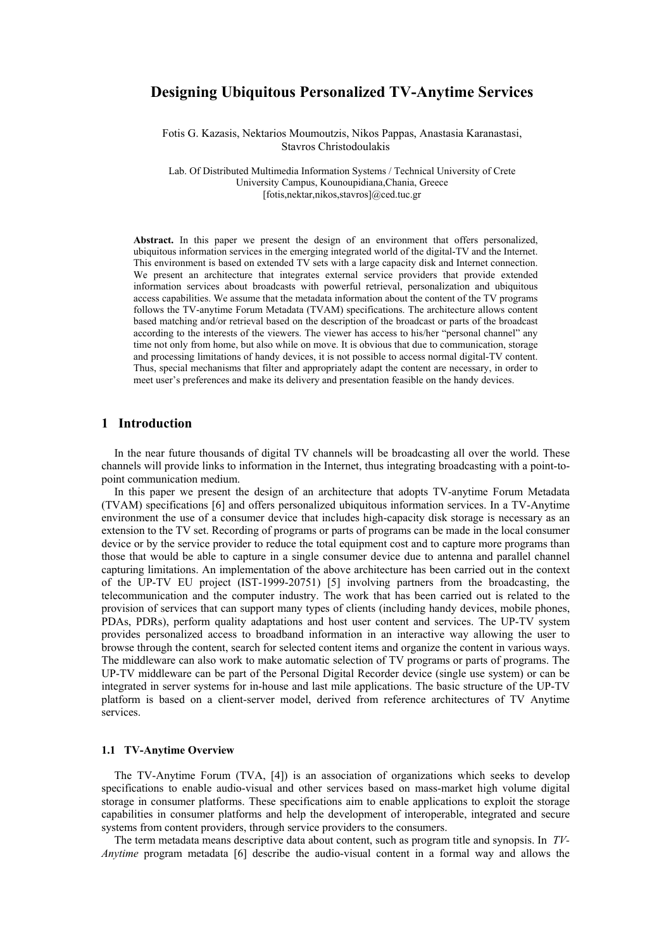# **Designing Ubiquitous Personalized TV-Anytime Services**

Fotis G. Kazasis, Nektarios Moumoutzis, Nikos Pappas, Anastasia Karanastasi, Stavros Christodoulakis

Lab. Of Distributed Multimedia Information Systems / Technical University of Crete University Campus, Kounoupidiana,Chania, Greece [\[fotis,nektar,nikos,stavros\]@ced.tuc.gr](mailto:Email@small.medium.large)

**Abstract.** In this paper we present the design of an environment that offers personalized, ubiquitous information services in the emerging integrated world of the digital-TV and the Internet. This environment is based on extended TV sets with a large capacity disk and Internet connection. We present an architecture that integrates external service providers that provide extended information services about broadcasts with powerful retrieval, personalization and ubiquitous access capabilities. We assume that the metadata information about the content of the TV programs follows the TV-anytime Forum Metadata (TVAM) specifications. The architecture allows content based matching and/or retrieval based on the description of the broadcast or parts of the broadcast according to the interests of the viewers. The viewer has access to his/her "personal channel" any time not only from home, but also while on move. It is obvious that due to communication, storage and processing limitations of handy devices, it is not possible to access normal digital-TV content. Thus, special mechanisms that filter and appropriately adapt the content are necessary, in order to meet user's preferences and make its delivery and presentation feasible on the handy devices.

## **1 Introduction**

In the near future thousands of digital TV channels will be broadcasting all over the world. These channels will provide links to information in the Internet, thus integrating broadcasting with a point-topoint communication medium.

In this paper we present the design of an architecture that adopts TV-anytime Forum Metadata (TVAM) specifications [6] and offers personalized ubiquitous information services. In a TV-Anytime environment the use of a consumer device that includes high-capacity disk storage is necessary as an extension to the TV set. Recording of programs or parts of programs can be made in the local consumer device or by the service provider to reduce the total equipment cost and to capture more programs than those that would be able to capture in a single consumer device due to antenna and parallel channel capturing limitations. An implementation of the above architecture has been carried out in the context of the UP-TV EU project (IST-1999-20751) [5] involving partners from the broadcasting, the telecommunication and the computer industry. The work that has been carried out is related to the provision of services that can support many types of clients (including handy devices, mobile phones, PDAs, PDRs), perform quality adaptations and host user content and services. The UP-TV system provides personalized access to broadband information in an interactive way allowing the user to browse through the content, search for selected content items and organize the content in various ways. The middleware can also work to make automatic selection of TV programs or parts of programs. The UP-TV middleware can be part of the Personal Digital Recorder device (single use system) or can be integrated in server systems for in-house and last mile applications. The basic structure of the UP-TV platform is based on a client-server model, derived from reference architectures of TV Anytime services.

### **1.1 TV-Anytime Overview**

The TV-Anytime Forum (TVA, [4]) is an association of organizations which seeks to develop specifications to enable audio-visual and other services based on mass-market high volume digital storage in consumer platforms. These specifications aim to enable applications to exploit the storage capabilities in consumer platforms and help the development of interoperable, integrated and secure systems from content providers, through service providers to the consumers.

The term metadata means descriptive data about content, such as program title and synopsis. In *TV-Anytime* program metadata [6] describe the audio-visual content in a formal way and allows the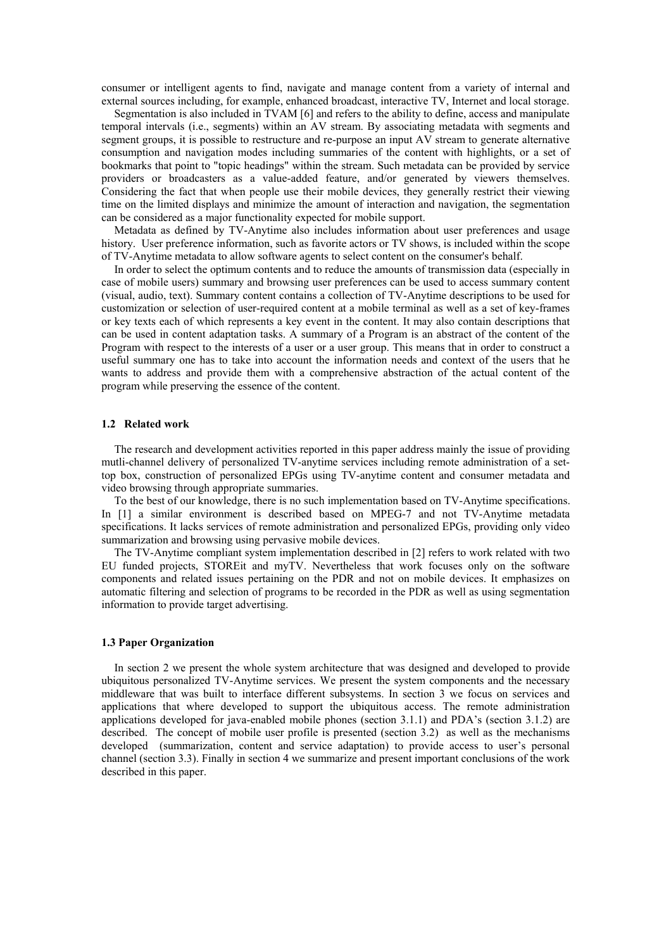consumer or intelligent agents to find, navigate and manage content from a variety of internal and external sources including, for example, enhanced broadcast, interactive TV, Internet and local storage.

Segmentation is also included in TVAM [6] and refers to the ability to define, access and manipulate temporal intervals (i.e., segments) within an AV stream. By associating metadata with segments and segment groups, it is possible to restructure and re-purpose an input AV stream to generate alternative consumption and navigation modes including summaries of the content with highlights, or a set of bookmarks that point to "topic headings" within the stream. Such metadata can be provided by service providers or broadcasters as a value-added feature, and/or generated by viewers themselves. Considering the fact that when people use their mobile devices, they generally restrict their viewing time on the limited displays and minimize the amount of interaction and navigation, the segmentation can be considered as a major functionality expected for mobile support.

Metadata as defined by TV-Anytime also includes information about user preferences and usage history. User preference information, such as favorite actors or TV shows, is included within the scope of TV-Anytime metadata to allow software agents to select content on the consumer's behalf.

In order to select the optimum contents and to reduce the amounts of transmission data (especially in case of mobile users) summary and browsing user preferences can be used to access summary content (visual, audio, text). Summary content contains a collection of TV-Anytime descriptions to be used for customization or selection of user-required content at a mobile terminal as well as a set of key-frames or key texts each of which represents a key event in the content. It may also contain descriptions that can be used in content adaptation tasks. A summary of a Program is an abstract of the content of the Program with respect to the interests of a user or a user group. This means that in order to construct a useful summary one has to take into account the information needs and context of the users that he wants to address and provide them with a comprehensive abstraction of the actual content of the program while preserving the essence of the content.

### **1.2 Related work**

The research and development activities reported in this paper address mainly the issue of providing mutli-channel delivery of personalized TV-anytime services including remote administration of a settop box, construction of personalized EPGs using TV-anytime content and consumer metadata and video browsing through appropriate summaries.

To the best of our knowledge, there is no such implementation based on TV-Anytime specifications. In [1] a similar environment is described based on MPEG-7 and not TV-Anytime metadata specifications. It lacks services of remote administration and personalized EPGs, providing only video summarization and browsing using pervasive mobile devices.

The TV-Anytime compliant system implementation described in [2] refers to work related with two EU funded projects, STOREit and myTV. Nevertheless that work focuses only on the software components and related issues pertaining on the PDR and not on mobile devices. It emphasizes on automatic filtering and selection of programs to be recorded in the PDR as well as using segmentation information to provide target advertising.

### **1.3 Paper Organization**

In section 2 we present the whole system architecture that was designed and developed to provide ubiquitous personalized TV-Anytime services. We present the system components and the necessary middleware that was built to interface different subsystems. In section 3 we focus on services and applications that where developed to support the ubiquitous access. The remote administration applications developed for java-enabled mobile phones (section 3.1.1) and PDA's (section 3.1.2) are described. The concept of mobile user profile is presented (section 3.2) as well as the mechanisms developed (summarization, content and service adaptation) to provide access to user's personal channel (section 3.3). Finally in section 4 we summarize and present important conclusions of the work described in this paper.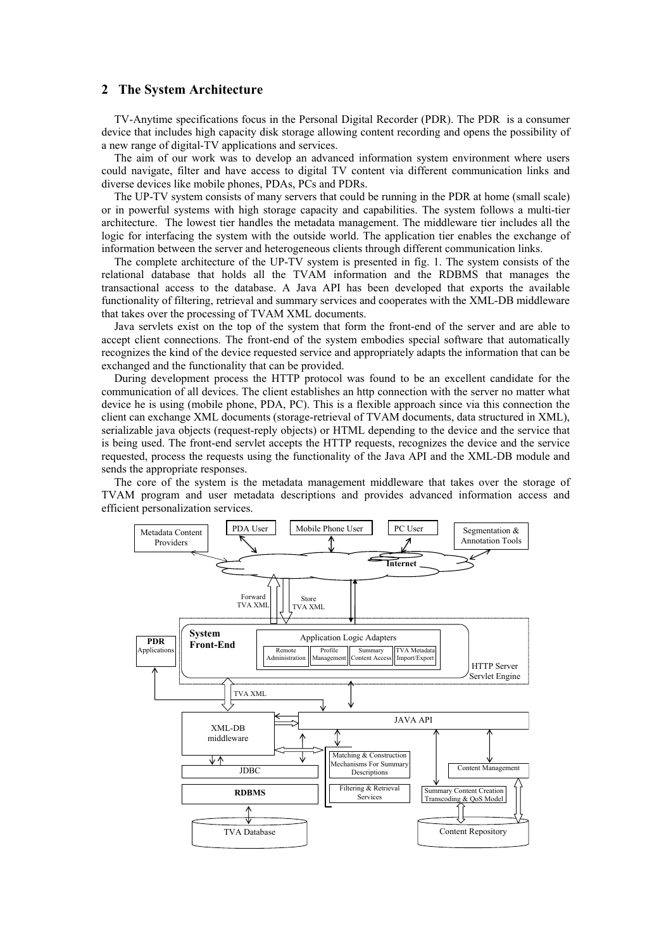# **2 The System Architecture**

TV-Anytime specifications focus in the Personal Digital Recorder (PDR). The PDR is a consumer device that includes high capacity disk storage allowing content recording and opens the possibility of a new range of digital-TV applications and services.

The aim of our work was to develop an advanced information system environment where users could navigate, filter and have access to digital TV content via different communication links and diverse devices like mobile phones, PDAs, PCs and PDRs.

The UP-TV system consists of many servers that could be running in the PDR at home (small scale) or in powerful systems with high storage capacity and capabilities. The system follows a multi-tier architecture. The lowest tier handles the metadata management. The middleware tier includes all the logic for interfacing the system with the outside world. The application tier enables the exchange of information between the server and heterogeneous clients through different communication links.

The complete architecture of the UP-TV system is presented in fig. 1. The system consists of the relational database that holds all the TVAM information and the RDBMS that manages the transactional access to the database. A Java API has been developed that exports the available functionality of filtering, retrieval and summary services and cooperates with the XML-DB middleware that takes over the processing of TVAM XML documents.

Java servlets exist on the top of the system that form the front-end of the server and are able to accept client connections. The front-end of the system embodies special software that automatically recognizes the kind of the device requested service and appropriately adapts the information that can be exchanged and the functionality that can be provided.

During development process the HTTP protocol was found to be an excellent candidate for the communication of all devices. The client establishes an http connection with the server no matter what device he is using (mobile phone, PDA, PC). This is a flexible approach since via this connection the client can exchange XML documents (storage-retrieval of TVAM documents, data structured in XML), serializable java objects (request-reply objects) or HTML depending to the device and the service that is being used. The front-end servlet accepts the HTTP requests, recognizes the device and the service requested, process the requests using the functionality of the Java API and the XML-DB module and sends the appropriate responses.

The core of the system is the metadata management middleware that takes over the storage of TVAM program and user metadata descriptions and provides advanced information access and efficient personalization services.

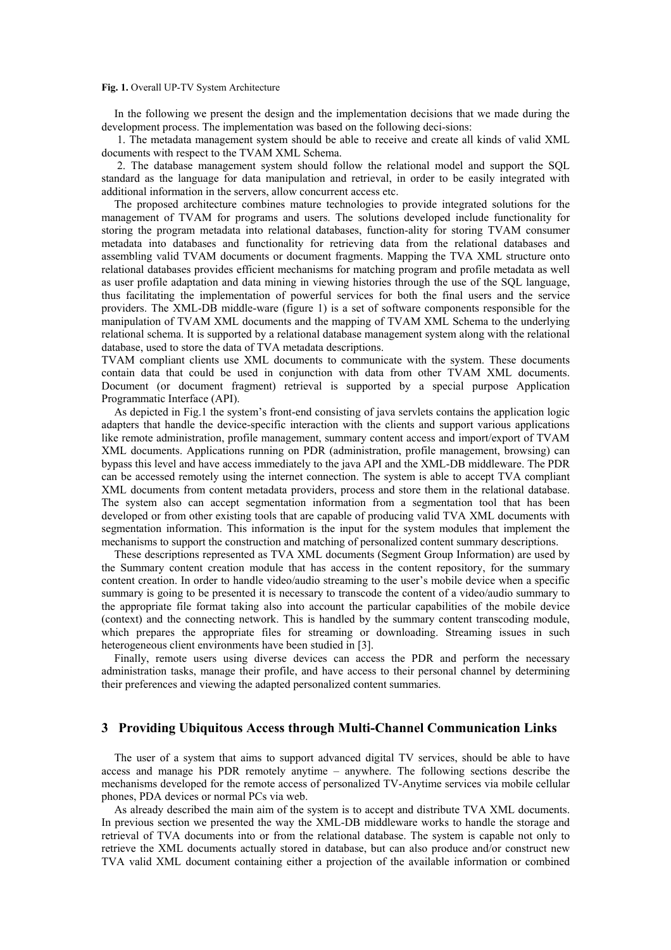#### **Fig. 1.** Overall UP-TV System Architecture

In the following we present the design and the implementation decisions that we made during the development process. The implementation was based on the following deci-sions:

 1. The metadata management system should be able to receive and create all kinds of valid XML documents with respect to the TVAM XML Schema.

 2. The database management system should follow the relational model and support the SQL standard as the language for data manipulation and retrieval, in order to be easily integrated with additional information in the servers, allow concurrent access etc.

The proposed architecture combines mature technologies to provide integrated solutions for the management of TVAM for programs and users. The solutions developed include functionality for storing the program metadata into relational databases, function-ality for storing TVAM consumer metadata into databases and functionality for retrieving data from the relational databases and assembling valid TVAM documents or document fragments. Mapping the TVA XML structure onto relational databases provides efficient mechanisms for matching program and profile metadata as well as user profile adaptation and data mining in viewing histories through the use of the SQL language, thus facilitating the implementation of powerful services for both the final users and the service providers. The XML-DB middle-ware (figure 1) is a set of software components responsible for the manipulation of TVAM XML documents and the mapping of TVAM XML Schema to the underlying relational schema. It is supported by a relational database management system along with the relational database, used to store the data of TVA metadata descriptions.

TVAM compliant clients use XML documents to communicate with the system. These documents contain data that could be used in conjunction with data from other TVAM XML documents. Document (or document fragment) retrieval is supported by a special purpose Application Programmatic Interface (API).

As depicted in Fig.1 the system's front-end consisting of java servlets contains the application logic adapters that handle the device-specific interaction with the clients and support various applications like remote administration, profile management, summary content access and import/export of TVAM XML documents. Applications running on PDR (administration, profile management, browsing) can bypass this level and have access immediately to the java API and the XML-DB middleware. The PDR can be accessed remotely using the internet connection. The system is able to accept TVA compliant XML documents from content metadata providers, process and store them in the relational database. The system also can accept segmentation information from a segmentation tool that has been developed or from other existing tools that are capable of producing valid TVA XML documents with segmentation information. This information is the input for the system modules that implement the mechanisms to support the construction and matching of personalized content summary descriptions.

These descriptions represented as TVA XML documents (Segment Group Information) are used by the Summary content creation module that has access in the content repository, for the summary content creation. In order to handle video/audio streaming to the user's mobile device when a specific summary is going to be presented it is necessary to transcode the content of a video/audio summary to the appropriate file format taking also into account the particular capabilities of the mobile device (context) and the connecting network. This is handled by the summary content transcoding module, which prepares the appropriate files for streaming or downloading. Streaming issues in such heterogeneous client environments have been studied in [3].

Finally, remote users using diverse devices can access the PDR and perform the necessary administration tasks, manage their profile, and have access to their personal channel by determining their preferences and viewing the adapted personalized content summaries.

# **3 Providing Ubiquitous Access through Multi-Channel Communication Links**

The user of a system that aims to support advanced digital TV services, should be able to have access and manage his PDR remotely anytime – anywhere. The following sections describe the mechanisms developed for the remote access of personalized TV-Anytime services via mobile cellular phones, PDA devices or normal PCs via web.

As already described the main aim of the system is to accept and distribute TVA XML documents. In previous section we presented the way the XML-DB middleware works to handle the storage and retrieval of TVA documents into or from the relational database. The system is capable not only to retrieve the XML documents actually stored in database, but can also produce and/or construct new TVA valid XML document containing either a projection of the available information or combined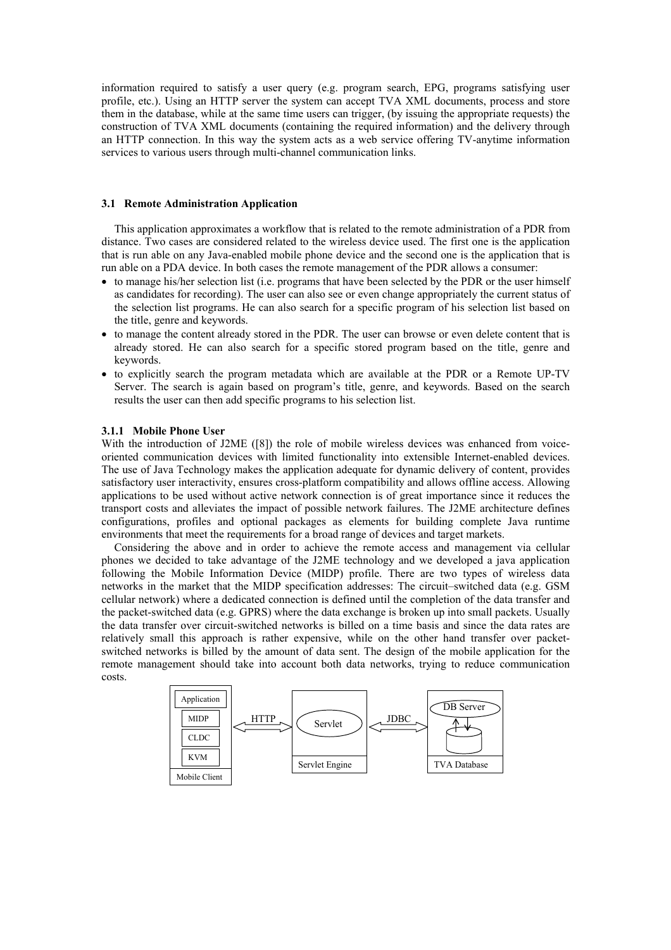information required to satisfy a user query (e.g. program search, EPG, programs satisfying user profile, etc.). Using an HTTP server the system can accept TVA XML documents, process and store them in the database, while at the same time users can trigger, (by issuing the appropriate requests) the construction of TVA XML documents (containing the required information) and the delivery through an HTTP connection. In this way the system acts as a web service offering TV-anytime information services to various users through multi-channel communication links.

# **3.1 Remote Administration Application**

This application approximates a workflow that is related to the remote administration of a PDR from distance. Two cases are considered related to the wireless device used. The first one is the application that is run able on any Java-enabled mobile phone device and the second one is the application that is run able on a PDA device. In both cases the remote management of the PDR allows a consumer:

- to manage his/her selection list (i.e. programs that have been selected by the PDR or the user himself as candidates for recording). The user can also see or even change appropriately the current status of the selection list programs. He can also search for a specific program of his selection list based on the title, genre and keywords.
- to manage the content already stored in the PDR. The user can browse or even delete content that is already stored. He can also search for a specific stored program based on the title, genre and keywords.
- to explicitly search the program metadata which are available at the PDR or a Remote UP-TV Server. The search is again based on program's title, genre, and keywords. Based on the search results the user can then add specific programs to his selection list.

### **3.1.1 Mobile Phone User**

With the introduction of J2ME ([8]) the role of mobile wireless devices was enhanced from voiceoriented communication devices with limited functionality into extensible Internet-enabled devices. The use of Java Technology makes the application adequate for dynamic delivery of content, provides satisfactory user interactivity, ensures cross-platform compatibility and allows offline access. Allowing applications to be used without active network connection is of great importance since it reduces the transport costs and alleviates the impact of possible network failures. The J2ME architecture defines configurations, profiles and optional packages as elements for building complete Java runtime environments that meet the requirements for a broad range of devices and target markets.

Considering the above and in order to achieve the remote access and management via cellular phones we decided to take advantage of the J2ME technology and we developed a java application following the Mobile Information Device (MIDP) profile. There are two types of wireless data networks in the market that the MIDP specification addresses: The circuit–switched data (e.g. GSM cellular network) where a dedicated connection is defined until the completion of the data transfer and the packet-switched data (e.g. GPRS) where the data exchange is broken up into small packets. Usually the data transfer over circuit-switched networks is billed on a time basis and since the data rates are relatively small this approach is rather expensive, while on the other hand transfer over packetswitched networks is billed by the amount of data sent. The design of the mobile application for the remote management should take into account both data networks, trying to reduce communication costs.

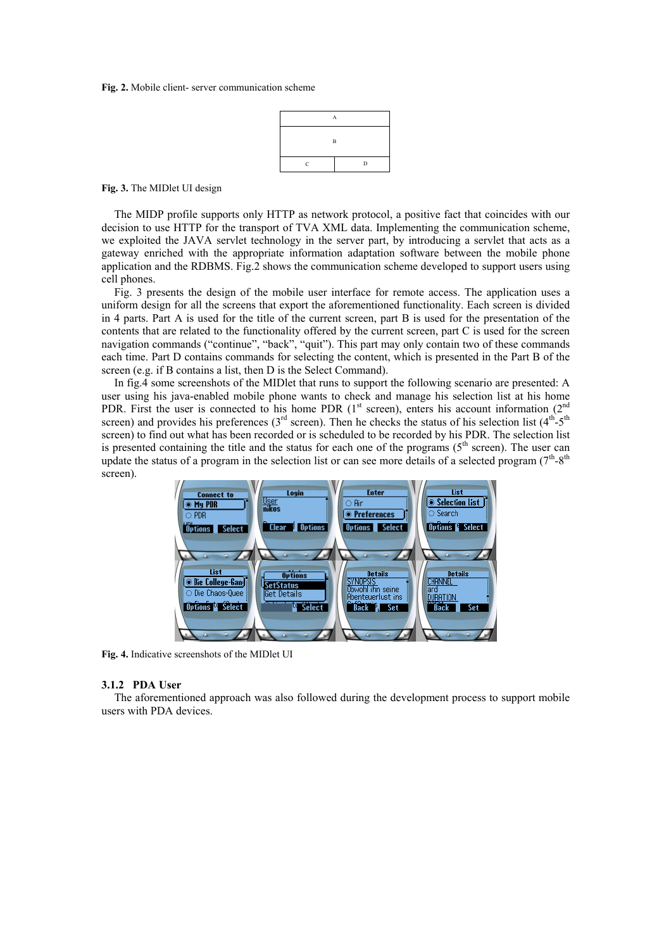#### **Fig. 2.** Mobile client- server communication scheme



**Fig. 3.** The MIDlet UI design

The MIDP profile supports only HTTP as network protocol, a positive fact that coincides with our decision to use HTTP for the transport of TVA XML data. Implementing the communication scheme, we exploited the JAVA servlet technology in the server part, by introducing a servlet that acts as a gateway enriched with the appropriate information adaptation software between the mobile phone application and the RDBMS. Fig.2 shows the communication scheme developed to support users using cell phones.

Fig. 3 presents the design of the mobile user interface for remote access. The application uses a uniform design for all the screens that export the aforementioned functionality. Each screen is divided in 4 parts. Part A is used for the title of the current screen, part B is used for the presentation of the contents that are related to the functionality offered by the current screen, part C is used for the screen navigation commands ("continue", "back", "quit"). This part may only contain two of these commands each time. Part D contains commands for selecting the content, which is presented in the Part B of the screen (e.g. if B contains a list, then D is the Select Command).

In fig.4 some screenshots of the MIDlet that runs to support the following scenario are presented: A user using his java-enabled mobile phone wants to check and manage his selection list at his home PDR. First the user is connected to his home PDR  $(1<sup>st</sup> screen)$ , enters his account information  $(2<sup>nd</sup>$ screen) and provides his preferences ( $3<sup>rd</sup>$  screen). Then he checks the status of his selection list ( $4<sup>th</sup>$ - $5<sup>th</sup>$ screen) to find out what has been recorded or is scheduled to be recorded by his PDR. The selection list is presented containing the title and the status for each one of the programs  $(5<sup>th</sup> screen)$ . The user can update the status of a program in the selection list or can see more details of a selected program  $(7<sup>th</sup>-8<sup>th</sup>$ screen).



**Fig. 4.** Indicative screenshots of the MIDlet UI

### **3.1.2 PDA User**

The aforementioned approach was also followed during the development process to support mobile users with PDA devices.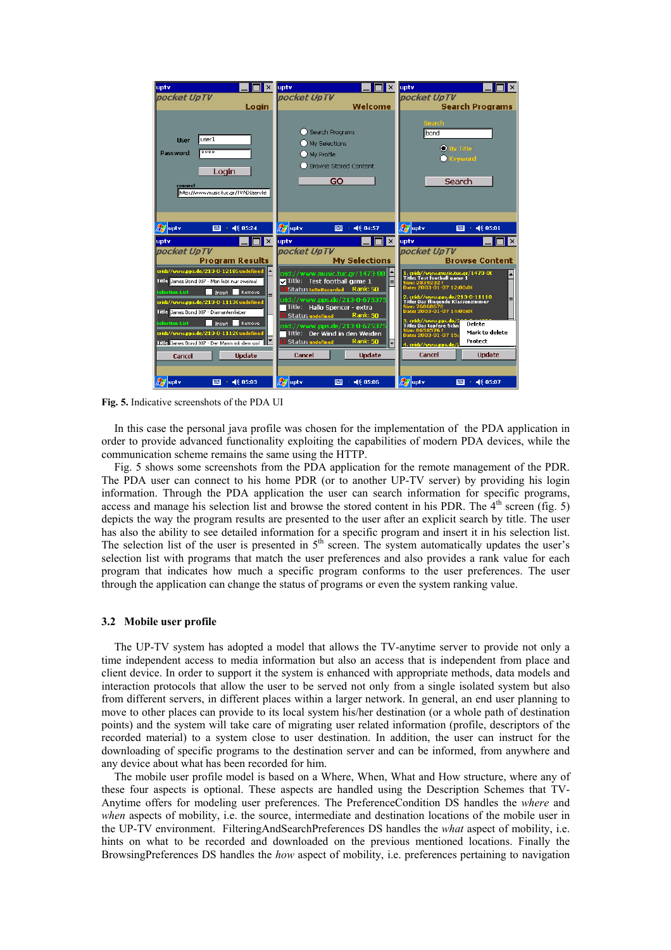

**Fig. 5.** Indicative screenshots of the PDA UI

In this case the personal java profile was chosen for the implementation of the PDA application in order to provide advanced functionality exploiting the capabilities of modern PDA devices, while the communication scheme remains the same using the HTTP.

Fig. 5 shows some screenshots from the PDA application for the remote management of the PDR. The PDA user can connect to his home PDR (or to another UP-TV server) by providing his login information. Through the PDA application the user can search information for specific programs, access and manage his selection list and browse the stored content in his PDR. The  $4<sup>th</sup>$  screen (fig. 5) depicts the way the program results are presented to the user after an explicit search by title. The user has also the ability to see detailed information for a specific program and insert it in his selection list. The selection list of the user is presented in 5<sup>th</sup> screen. The system automatically updates the user's selection list with programs that match the user preferences and also provides a rank value for each program that indicates how much a specific program conforms to the user preferences. The user through the application can change the status of programs or even the system ranking value.

#### **3.2 Mobile user profile**

The UP-TV system has adopted a model that allows the TV-anytime server to provide not only a time independent access to media information but also an access that is independent from place and client device. In order to support it the system is enhanced with appropriate methods, data models and interaction protocols that allow the user to be served not only from a single isolated system but also from different servers, in different places within a larger network. In general, an end user planning to move to other places can provide to its local system his/her destination (or a whole path of destination points) and the system will take care of migrating user related information (profile, descriptors of the recorded material) to a system close to user destination. In addition, the user can instruct for the downloading of specific programs to the destination server and can be informed, from anywhere and any device about what has been recorded for him.

The mobile user profile model is based on a Where, When, What and How structure, where any of these four aspects is optional. These aspects are handled using the Description Schemes that TV-Anytime offers for modeling user preferences. The PreferenceCondition DS handles the *where* and *when* aspects of mobility, i.e. the source, intermediate and destination locations of the mobile user in the UP-TV environment. FilteringAndSearchPreferences DS handles the *what* aspect of mobility, i.e. hints on what to be recorded and downloaded on the previous mentioned locations. Finally the BrowsingPreferences DS handles the *how* aspect of mobility, i.e. preferences pertaining to navigation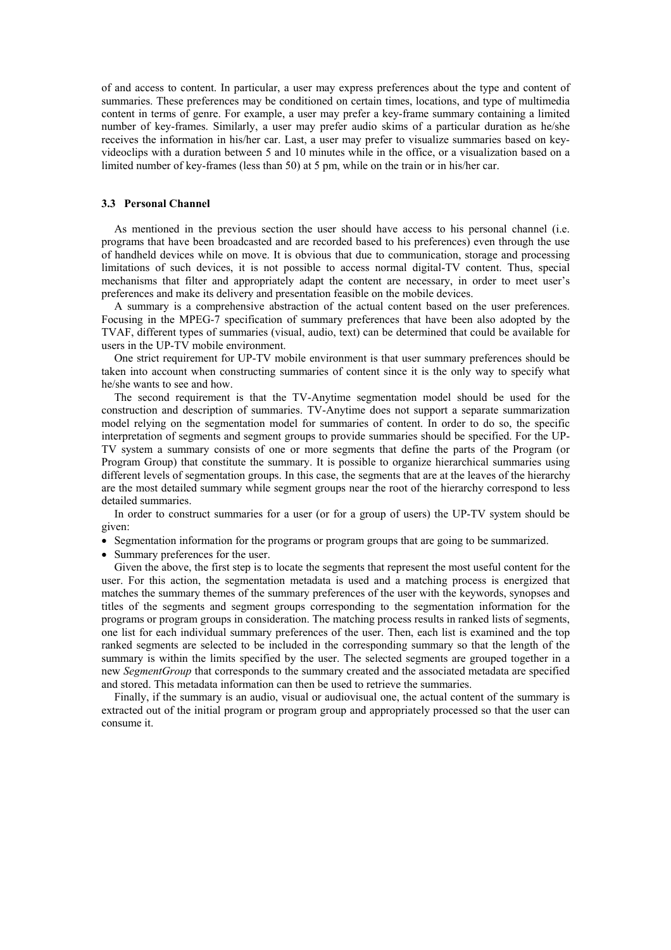of and access to content. In particular, a user may express preferences about the type and content of summaries. These preferences may be conditioned on certain times, locations, and type of multimedia content in terms of genre. For example, a user may prefer a key-frame summary containing a limited number of key-frames. Similarly, a user may prefer audio skims of a particular duration as he/she receives the information in his/her car. Last, a user may prefer to visualize summaries based on keyvideoclips with a duration between 5 and 10 minutes while in the office, or a visualization based on a limited number of key-frames (less than 50) at 5 pm, while on the train or in his/her car.

# **3.3 Personal Channel**

As mentioned in the previous section the user should have access to his personal channel (i.e. programs that have been broadcasted and are recorded based to his preferences) even through the use of handheld devices while on move. It is obvious that due to communication, storage and processing limitations of such devices, it is not possible to access normal digital-TV content. Thus, special mechanisms that filter and appropriately adapt the content are necessary, in order to meet user's preferences and make its delivery and presentation feasible on the mobile devices.

A summary is a comprehensive abstraction of the actual content based on the user preferences. Focusing in the MPEG-7 specification of summary preferences that have been also adopted by the TVAF, different types of summaries (visual, audio, text) can be determined that could be available for users in the UP-TV mobile environment.

One strict requirement for UP-TV mobile environment is that user summary preferences should be taken into account when constructing summaries of content since it is the only way to specify what he/she wants to see and how.

The second requirement is that the TV-Anytime segmentation model should be used for the construction and description of summaries. TV-Anytime does not support a separate summarization model relying on the segmentation model for summaries of content. In order to do so, the specific interpretation of segments and segment groups to provide summaries should be specified. For the UP-TV system a summary consists of one or more segments that define the parts of the Program (or Program Group) that constitute the summary. It is possible to organize hierarchical summaries using different levels of segmentation groups. In this case, the segments that are at the leaves of the hierarchy are the most detailed summary while segment groups near the root of the hierarchy correspond to less detailed summaries.

In order to construct summaries for a user (or for a group of users) the UP-TV system should be given:

• Segmentation information for the programs or program groups that are going to be summarized.

• Summary preferences for the user.

Given the above, the first step is to locate the segments that represent the most useful content for the user. For this action, the segmentation metadata is used and a matching process is energized that matches the summary themes of the summary preferences of the user with the keywords, synopses and titles of the segments and segment groups corresponding to the segmentation information for the programs or program groups in consideration. The matching process results in ranked lists of segments, one list for each individual summary preferences of the user. Then, each list is examined and the top ranked segments are selected to be included in the corresponding summary so that the length of the summary is within the limits specified by the user. The selected segments are grouped together in a new *SegmentGroup* that corresponds to the summary created and the associated metadata are specified and stored. This metadata information can then be used to retrieve the summaries.

Finally, if the summary is an audio, visual or audiovisual one, the actual content of the summary is extracted out of the initial program or program group and appropriately processed so that the user can consume it.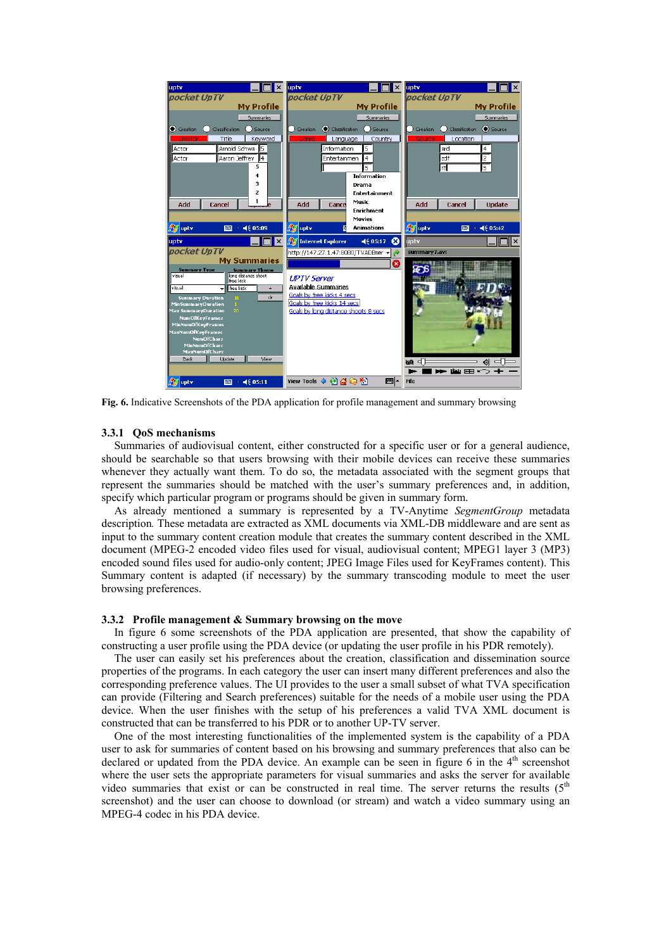

**Fig. 6.** Indicative Screenshots of the PDA application for profile management and summary browsing

### **3.3.1 QoS mechanisms**

Summaries of audiovisual content, either constructed for a specific user or for a general audience, should be searchable so that users browsing with their mobile devices can receive these summaries whenever they actually want them. To do so, the metadata associated with the segment groups that represent the summaries should be matched with the user's summary preferences and, in addition, specify which particular program or programs should be given in summary form.

As already mentioned a summary is represented by a TV-Anytime *SegmentGroup* metadata description*.* These metadata are extracted as XML documents via XML-DB middleware and are sent as input to the summary content creation module that creates the summary content described in the XML document (MPEG-2 encoded video files used for visual, audiovisual content; MPEG1 layer 3 (MP3) encoded sound files used for audio-only content; JPEG Image Files used for KeyFrames content). This Summary content is adapted (if necessary) by the summary transcoding module to meet the user browsing preferences.

### **3.3.2 Profile management & Summary browsing on the move**

In figure 6 some screenshots of the PDA application are presented, that show the capability of constructing a user profile using the PDA device (or updating the user profile in his PDR remotely).

The user can easily set his preferences about the creation, classification and dissemination source properties of the programs. In each category the user can insert many different preferences and also the corresponding preference values. The UI provides to the user a small subset of what TVA specification can provide (Filtering and Search preferences) suitable for the needs of a mobile user using the PDA device. When the user finishes with the setup of his preferences a valid TVA XML document is constructed that can be transferred to his PDR or to another UP-TV server.

One of the most interesting functionalities of the implemented system is the capability of a PDA user to ask for summaries of content based on his browsing and summary preferences that also can be declared or updated from the PDA device. An example can be seen in figure 6 in the 4<sup>th</sup> screenshot where the user sets the appropriate parameters for visual summaries and asks the server for available video summaries that exist or can be constructed in real time. The server returns the results  $(5<sup>th</sup>$ screenshot) and the user can choose to download (or stream) and watch a video summary using an MPEG-4 codec in his PDA device.